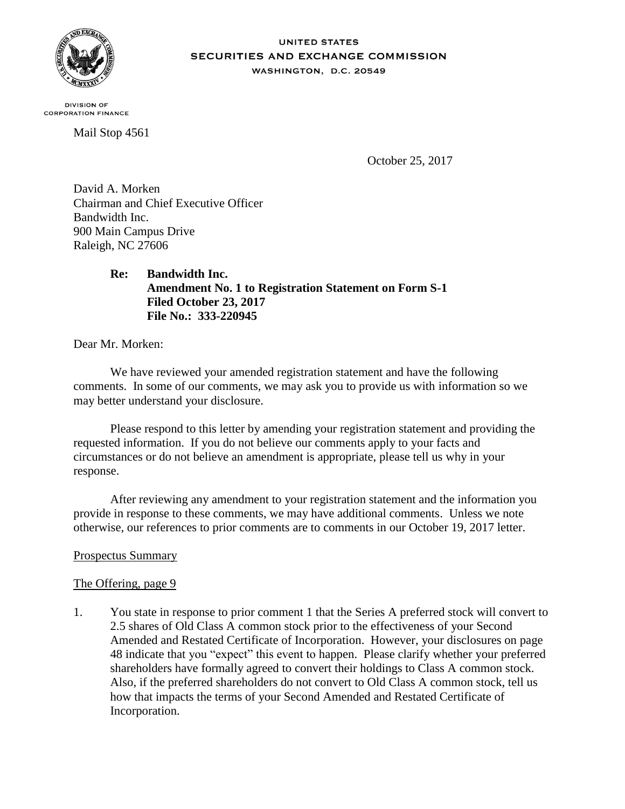

### **UNITED STATES** SECURITIES AND EXCHANGE COMMISSION WASHINGTON, D.C. 20549

**DIVISION OF CORPORATION FINANCE** 

Mail Stop 4561

October 25, 2017

David A. Morken Chairman and Chief Executive Officer Bandwidth Inc. 900 Main Campus Drive Raleigh, NC 27606

> **Re: Bandwidth Inc. Amendment No. 1 to Registration Statement on Form S-1 Filed October 23, 2017 File No.: 333-220945**

Dear Mr. Morken:

We have reviewed your amended registration statement and have the following comments. In some of our comments, we may ask you to provide us with information so we may better understand your disclosure.

Please respond to this letter by amending your registration statement and providing the requested information. If you do not believe our comments apply to your facts and circumstances or do not believe an amendment is appropriate, please tell us why in your response.

After reviewing any amendment to your registration statement and the information you provide in response to these comments, we may have additional comments. Unless we note otherwise, our references to prior comments are to comments in our October 19, 2017 letter.

# Prospectus Summary

## The Offering, page 9

1. You state in response to prior comment 1 that the Series A preferred stock will convert to 2.5 shares of Old Class A common stock prior to the effectiveness of your Second Amended and Restated Certificate of Incorporation. However, your disclosures on page 48 indicate that you "expect" this event to happen. Please clarify whether your preferred shareholders have formally agreed to convert their holdings to Class A common stock. Also, if the preferred shareholders do not convert to Old Class A common stock, tell us how that impacts the terms of your Second Amended and Restated Certificate of Incorporation.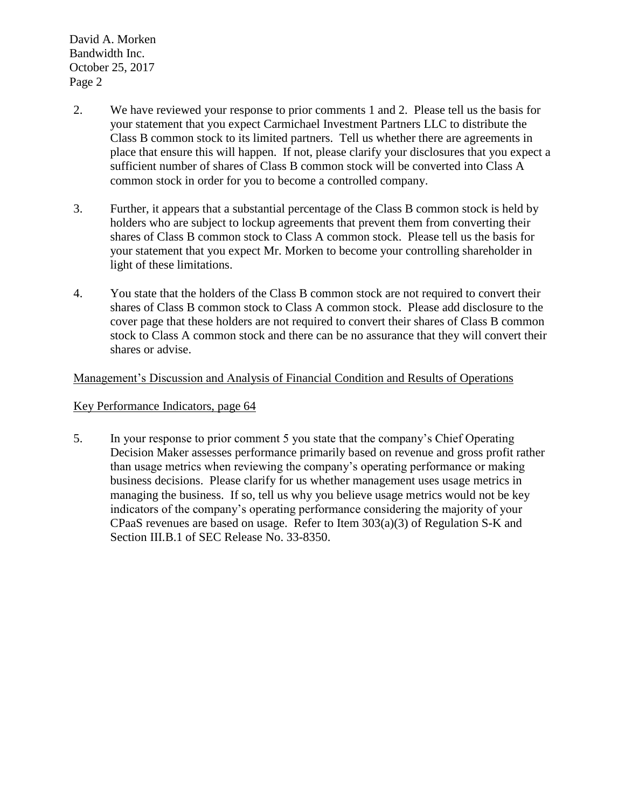David A. Morken Bandwidth Inc. October 25, 2017 Page 2

- 2. We have reviewed your response to prior comments 1 and 2. Please tell us the basis for your statement that you expect Carmichael Investment Partners LLC to distribute the Class B common stock to its limited partners. Tell us whether there are agreements in place that ensure this will happen. If not, please clarify your disclosures that you expect a sufficient number of shares of Class B common stock will be converted into Class A common stock in order for you to become a controlled company.
- 3. Further, it appears that a substantial percentage of the Class B common stock is held by holders who are subject to lockup agreements that prevent them from converting their shares of Class B common stock to Class A common stock. Please tell us the basis for your statement that you expect Mr. Morken to become your controlling shareholder in light of these limitations.
- 4. You state that the holders of the Class B common stock are not required to convert their shares of Class B common stock to Class A common stock. Please add disclosure to the cover page that these holders are not required to convert their shares of Class B common stock to Class A common stock and there can be no assurance that they will convert their shares or advise.

## Management's Discussion and Analysis of Financial Condition and Results of Operations

## Key Performance Indicators, page 64

5. In your response to prior comment 5 you state that the company's Chief Operating Decision Maker assesses performance primarily based on revenue and gross profit rather than usage metrics when reviewing the company's operating performance or making business decisions. Please clarify for us whether management uses usage metrics in managing the business. If so, tell us why you believe usage metrics would not be key indicators of the company's operating performance considering the majority of your CPaaS revenues are based on usage. Refer to Item 303(a)(3) of Regulation S-K and Section III.B.1 of SEC Release No. 33-8350.